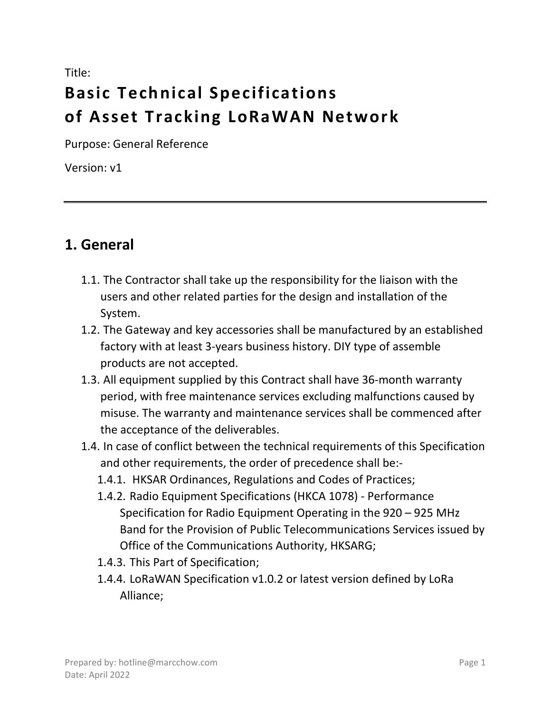# Title: **Basic Technical Specifications of Asset Tracking LoRaWAN Network**

Purpose: General Reference

Version: v1

### **1. General**

- 1.1. The Contractor shall take up the responsibility for the liaison with the users and other related parties for the design and installation of the System.
- 1.2. The Gateway and key accessories shall be manufactured by an established factory with at least 3-years business history. DIY type of assemble products are not accepted.
- 1.3. All equipment supplied by this Contract shall have 36-month warranty period, with free maintenance services excluding malfunctions caused by misuse. The warranty and maintenance services shall be commenced after the acceptance of the deliverables.
- 1.4. In case of conflict between the technical requirements of this Specification and other requirements, the order of precedence shall be:-
	- 1.4.1. HKSAR Ordinances, Regulations and Codes of Practices;
	- 1.4.2. Radio Equipment Specifications (HKCA 1078) Performance Specification for Radio Equipment Operating in the 920 – 925 MHz Band for the Provision of Public Telecommunications Services issued by Office of the Communications Authority, HKSARG;
	- 1.4.3. This Part of Specification;
	- 1.4.4. LoRaWAN Specification v1.0.2 or latest version defined by LoRa Alliance;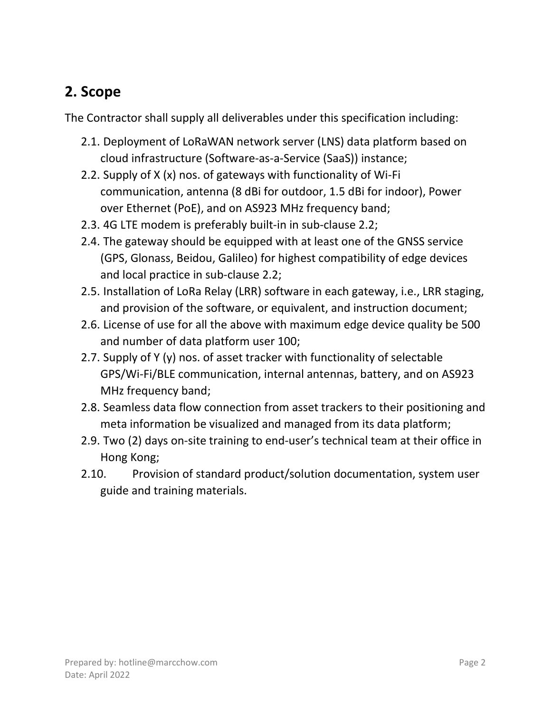## **2. Scope**

The Contractor shall supply all deliverables under this specification including:

- 2.1. Deployment of LoRaWAN network server (LNS) data platform based on cloud infrastructure (Software-as-a-Service (SaaS)) instance;
- 2.2. Supply of X (x) nos. of gateways with functionality of Wi-Fi communication, antenna (8 dBi for outdoor, 1.5 dBi for indoor), Power over Ethernet (PoE), and on AS923 MHz frequency band;
- 2.3. 4G LTE modem is preferably built-in in sub-clause 2.2;
- 2.4. The gateway should be equipped with at least one of the GNSS service (GPS, Glonass, Beidou, Galileo) for highest compatibility of edge devices and local practice in sub-clause 2.2;
- 2.5. Installation of LoRa Relay (LRR) software in each gateway, i.e., LRR staging, and provision of the software, or equivalent, and instruction document;
- 2.6. License of use for all the above with maximum edge device quality be 500 and number of data platform user 100;
- 2.7. Supply of Y (y) nos. of asset tracker with functionality of selectable GPS/Wi-Fi/BLE communication, internal antennas, battery, and on AS923 MHz frequency band;
- 2.8. Seamless data flow connection from asset trackers to their positioning and meta information be visualized and managed from its data platform;
- 2.9. Two (2) days on-site training to end-user's technical team at their office in Hong Kong;
- 2.10. Provision of standard product/solution documentation, system user guide and training materials.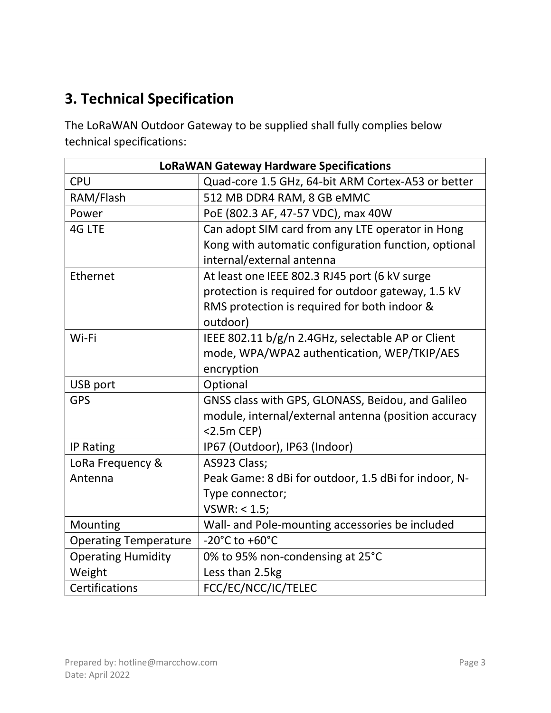## **3. Technical Specification**

The LoRaWAN Outdoor Gateway to be supplied shall fully complies below technical specifications:

| <b>LoRaWAN Gateway Hardware Specifications</b> |                                                      |
|------------------------------------------------|------------------------------------------------------|
| <b>CPU</b>                                     | Quad-core 1.5 GHz, 64-bit ARM Cortex-A53 or better   |
| RAM/Flash                                      | 512 MB DDR4 RAM, 8 GB eMMC                           |
| Power                                          | PoE (802.3 AF, 47-57 VDC), max 40W                   |
| 4G LTE                                         | Can adopt SIM card from any LTE operator in Hong     |
|                                                | Kong with automatic configuration function, optional |
|                                                | internal/external antenna                            |
| Ethernet                                       | At least one IEEE 802.3 RJ45 port (6 kV surge        |
|                                                | protection is required for outdoor gateway, 1.5 kV   |
|                                                | RMS protection is required for both indoor &         |
|                                                | outdoor)                                             |
| Wi-Fi                                          | IEEE 802.11 b/g/n 2.4GHz, selectable AP or Client    |
|                                                | mode, WPA/WPA2 authentication, WEP/TKIP/AES          |
|                                                | encryption                                           |
| USB port                                       | Optional                                             |
| <b>GPS</b>                                     | GNSS class with GPS, GLONASS, Beidou, and Galileo    |
|                                                | module, internal/external antenna (position accuracy |
|                                                | $<$ 2.5m CEP)                                        |
| IP Rating                                      | IP67 (Outdoor), IP63 (Indoor)                        |
| LoRa Frequency &                               | AS923 Class;                                         |
| Antenna                                        | Peak Game: 8 dBi for outdoor, 1.5 dBi for indoor, N- |
|                                                | Type connector;                                      |
|                                                | VSWR: < 1.5;                                         |
| Mounting                                       | Wall- and Pole-mounting accessories be included      |
| <b>Operating Temperature</b>                   | $-20^{\circ}$ C to $+60^{\circ}$ C                   |
| <b>Operating Humidity</b>                      | 0% to 95% non-condensing at 25°C                     |
| Weight                                         | Less than 2.5kg                                      |
| Certifications                                 | FCC/EC/NCC/IC/TELEC                                  |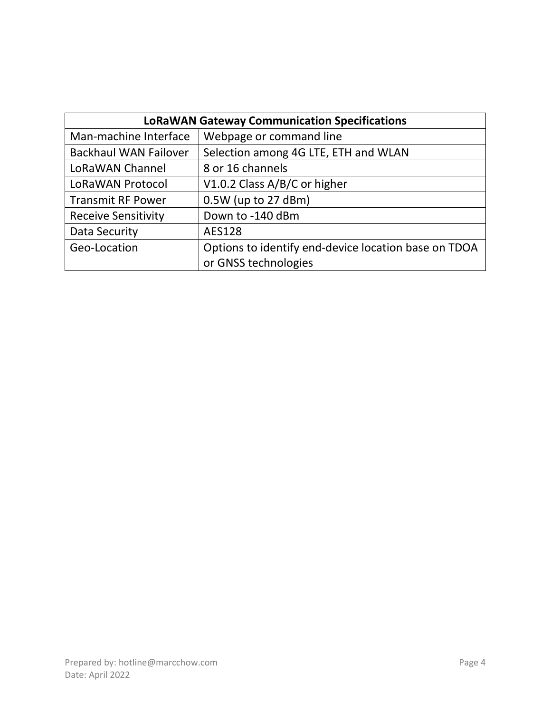| <b>LoRaWAN Gateway Communication Specifications</b> |                                                      |
|-----------------------------------------------------|------------------------------------------------------|
| Man-machine Interface                               | Webpage or command line                              |
| <b>Backhaul WAN Failover</b>                        | Selection among 4G LTE, ETH and WLAN                 |
| LoRaWAN Channel                                     | 8 or 16 channels                                     |
| LoRaWAN Protocol                                    | V1.0.2 Class A/B/C or higher                         |
| <b>Transmit RF Power</b>                            | $0.5W$ (up to 27 dBm)                                |
| <b>Receive Sensitivity</b>                          | Down to -140 dBm                                     |
| Data Security                                       | <b>AES128</b>                                        |
| Geo-Location                                        | Options to identify end-device location base on TDOA |
|                                                     | or GNSS technologies                                 |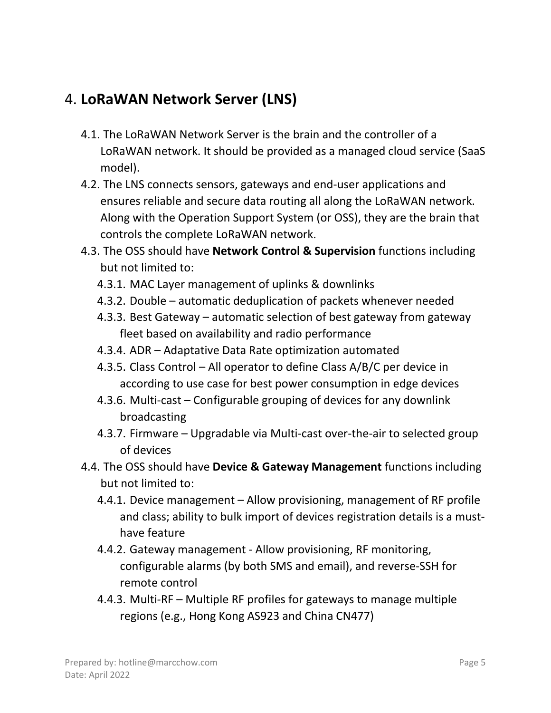### 4. **LoRaWAN Network Server (LNS)**

- 4.1. The LoRaWAN Network Server is the brain and the controller of a LoRaWAN network. It should be provided as a managed cloud service (SaaS model).
- 4.2. The LNS connects sensors, gateways and end-user applications and ensures reliable and secure data routing all along the LoRaWAN network. Along with the Operation Support System (or OSS), they are the brain that controls the complete LoRaWAN network.
- 4.3. The OSS should have **Network Control & Supervision** functions including but not limited to:
	- 4.3.1. MAC Layer management of uplinks & downlinks
	- 4.3.2. Double automatic deduplication of packets whenever needed
	- 4.3.3. Best Gateway automatic selection of best gateway from gateway fleet based on availability and radio performance
	- 4.3.4. ADR Adaptative Data Rate optimization automated
	- 4.3.5. Class Control All operator to define Class A/B/C per device in according to use case for best power consumption in edge devices
	- 4.3.6. Multi-cast Configurable grouping of devices for any downlink broadcasting
	- 4.3.7. Firmware Upgradable via Multi-cast over-the-air to selected group of devices
- 4.4. The OSS should have **Device & Gateway Management** functions including but not limited to:
	- 4.4.1. Device management Allow provisioning, management of RF profile and class; ability to bulk import of devices registration details is a musthave feature
	- 4.4.2. Gateway management Allow provisioning, RF monitoring, configurable alarms (by both SMS and email), and reverse-SSH for remote control
	- 4.4.3. Multi-RF Multiple RF profiles for gateways to manage multiple regions (e.g., Hong Kong AS923 and China CN477)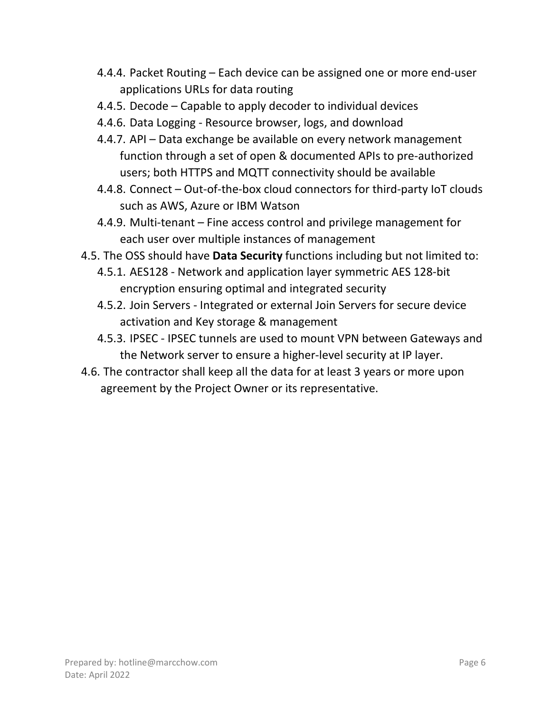- 4.4.4. Packet Routing Each device can be assigned one or more end-user applications URLs for data routing
- 4.4.5. Decode Capable to apply decoder to individual devices
- 4.4.6. Data Logging Resource browser, logs, and download
- 4.4.7. API Data exchange be available on every network management function through a set of open & documented APIs to pre-authorized users; both HTTPS and MQTT connectivity should be available
- 4.4.8. Connect Out-of-the-box cloud connectors for third-party IoT clouds such as AWS, Azure or IBM Watson
- 4.4.9. Multi-tenant Fine access control and privilege management for each user over multiple instances of management
- 4.5. The OSS should have **Data Security** functions including but not limited to:
	- 4.5.1. AES128 Network and application layer symmetric AES 128-bit encryption ensuring optimal and integrated security
	- 4.5.2. Join Servers Integrated or external Join Servers for secure device activation and Key storage & management
	- 4.5.3. IPSEC IPSEC tunnels are used to mount VPN between Gateways and the Network server to ensure a higher-level security at IP layer.
- 4.6. The contractor shall keep all the data for at least 3 years or more upon agreement by the Project Owner or its representative.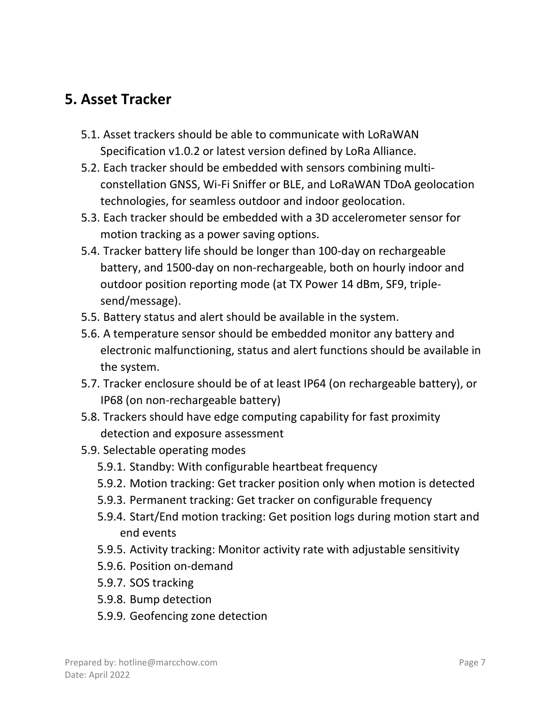#### **5. Asset Tracker**

- 5.1. Asset trackers should be able to communicate with LoRaWAN Specification v1.0.2 or latest version defined by LoRa Alliance.
- 5.2. Each tracker should be embedded with sensors combining multiconstellation GNSS, Wi-Fi Sniffer or BLE, and LoRaWAN TDoA geolocation technologies, for seamless outdoor and indoor geolocation.
- 5.3. Each tracker should be embedded with a 3D accelerometer sensor for motion tracking as a power saving options.
- 5.4. Tracker battery life should be longer than 100-day on rechargeable battery, and 1500-day on non-rechargeable, both on hourly indoor and outdoor position reporting mode (at TX Power 14 dBm, SF9, triplesend/message).
- 5.5. Battery status and alert should be available in the system.
- 5.6. A temperature sensor should be embedded monitor any battery and electronic malfunctioning, status and alert functions should be available in the system.
- 5.7. Tracker enclosure should be of at least IP64 (on rechargeable battery), or IP68 (on non-rechargeable battery)
- 5.8. Trackers should have edge computing capability for fast proximity detection and exposure assessment
- 5.9. Selectable operating modes
	- 5.9.1. Standby: With configurable heartbeat frequency
	- 5.9.2. Motion tracking: Get tracker position only when motion is detected
	- 5.9.3. Permanent tracking: Get tracker on configurable frequency
	- 5.9.4. Start/End motion tracking: Get position logs during motion start and end events
	- 5.9.5. Activity tracking: Monitor activity rate with adjustable sensitivity
	- 5.9.6. Position on-demand
	- 5.9.7. SOS tracking
	- 5.9.8. Bump detection
	- 5.9.9. Geofencing zone detection